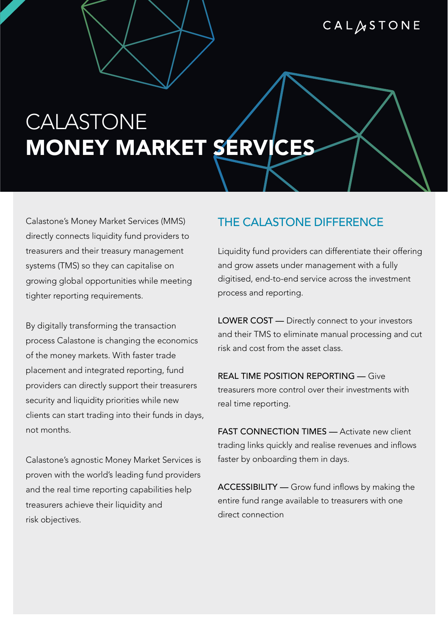CALASTONE

# CALASTONE **MONEY MARKET SERVICES**

Calastone's Money Market Services (MMS) directly connects liquidity fund providers to treasurers and their treasury management systems (TMS) so they can capitalise on growing global opportunities while meeting tighter reporting requirements.

By digitally transforming the transaction process Calastone is changing the economics of the money markets. With faster trade placement and integrated reporting, fund providers can directly support their treasurers security and liquidity priorities while new clients can start trading into their funds in days, not months.

Calastone's agnostic Money Market Services is proven with the world's leading fund providers and the real time reporting capabilities help treasurers achieve their liquidity and risk objectives.

#### THE CALASTONE DIFFERENCE

Liquidity fund providers can differentiate their offering and grow assets under management with a fully digitised, end-to-end service across the investment process and reporting.

LOWER COST - Directly connect to your investors and their TMS to eliminate manual processing and cut risk and cost from the asset class.

REAL TIME POSITION REPORTING — Give treasurers more control over their investments with real time reporting.

FAST CONNECTION TIMES - Activate new client trading links quickly and realise revenues and inflows faster by onboarding them in days.

ACCESSIBILITY — Grow fund inflows by making the entire fund range available to treasurers with one direct connection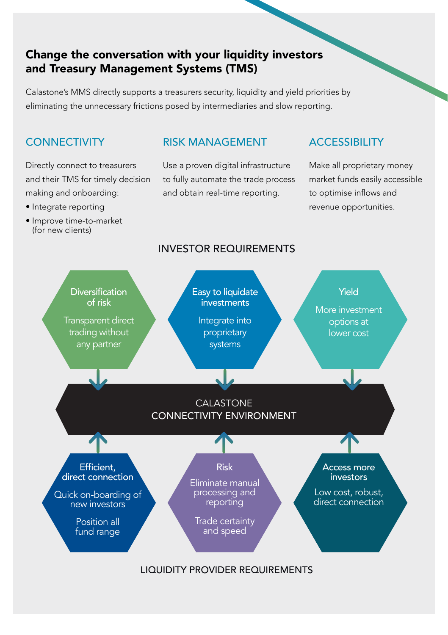### **Change the conversation with your liquidity investors and Treasury Management Systems (TMS)**

Calastone's MMS directly supports a treasurers security, liquidity and yield priorities by eliminating the unnecessary frictions posed by intermediaries and slow reporting.

### **CONNECTIVITY**

Directly connect to treasurers and their TMS for timely decision making and onboarding:

- Integrate reporting
- Improve time-to-market (for new clients)

#### RISK MANAGEMENT

Use a proven digital infrastructure to fully automate the trade process and obtain real-time reporting.

#### ACCESSIBILITY

Make all proprietary money market funds easily accessible to optimise inflows and revenue opportunities.



LIQUIDITY PROVIDER REQUIREMENTS

#### INVESTOR REQUIREMENTS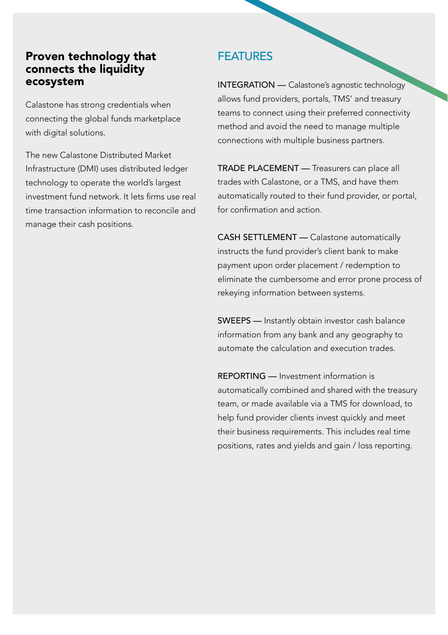#### **Proven technology that connects the liquidity ecosystem**

Calastone has strong credentials when connecting the global funds marketplace with digital solutions.

The new Calastone Distributed Market Infrastructure (DMI) uses distributed ledger technology to operate the world's largest investment fund network. It lets firms use real time transaction information to reconcile and manage their cash positions.

## FEATURES

INTEGRATION — Calastone's agnostic technology allows fund providers, portals, TMS' and treasury teams to connect using their preferred connectivity method and avoid the need to manage multiple connections with multiple business partners.

TRADE PLACEMENT — Treasurers can place all trades with Calastone, or a TMS, and have them automatically routed to their fund provider, or portal, for confirmation and action.

CASH SETTLEMENT — Calastone automatically instructs the fund provider's client bank to make payment upon order placement / redemption to eliminate the cumbersome and error prone process of rekeying information between systems.

SWEEPS — Instantly obtain investor cash balance information from any bank and any geography to automate the calculation and execution trades.

REPORTING — Investment information is automatically combined and shared with the treasury team, or made available via a TMS for download, to help fund provider clients invest quickly and meet their business requirements. This includes real time positions, rates and yields and gain / loss reporting.